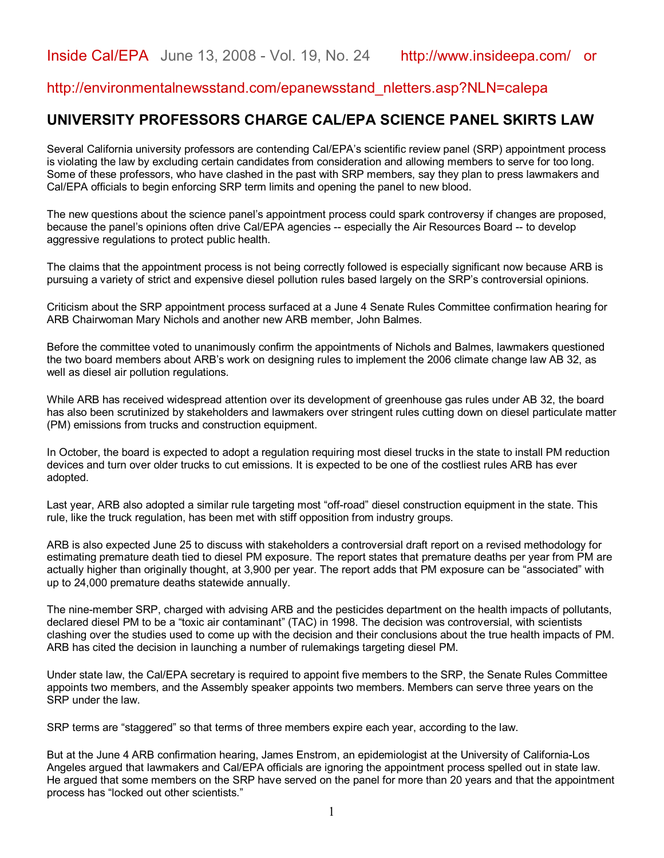## http://environmentalnewsstand.com/epanewsstand\_nletters.asp?NLN=calepa

## **UNIVERSITY PROFESSORS CHARGE CAL/EPA SCIENCE PANEL SKIRTS LAW**

Several California university professors are contending Cal/EPA's scientific review panel (SRP) appointment process is violating the law by excluding certain candidates from consideration and allowing members to serve for too long. Some of these professors, who have clashed in the past with SRP members, say they plan to press lawmakers and Cal/EPA officials to begin enforcing SRP term limits and opening the panel to new blood.

The new questions about the science panel's appointment process could spark controversy if changes are proposed, because the panel's opinions often drive Cal/EPA agencies -- especially the Air Resources Board -- to develop aggressive regulations to protect public health.

The claims that the appointment process is not being correctly followed is especially significant now because ARB is pursuing a variety of strict and expensive diesel pollution rules based largely on the SRP's controversial opinions.

Criticism about the SRP appointment process surfaced at a June 4 Senate Rules Committee confirmation hearing for ARB Chairwoman Mary Nichols and another new ARB member, John Balmes.

Before the committee voted to unanimously confirm the appointments of Nichols and Balmes, lawmakers questioned the two board members about ARB's work on designing rules to implement the 2006 climate change law AB 32, as well as diesel air pollution regulations.

While ARB has received widespread attention over its development of greenhouse gas rules under AB 32, the board has also been scrutinized by stakeholders and lawmakers over stringent rules cutting down on diesel particulate matter (PM) emissions from trucks and construction equipment.

In October, the board is expected to adopt a regulation requiring most diesel trucks in the state to install PM reduction devices and turn over older trucks to cut emissions. It is expected to be one of the costliest rules ARB has ever adopted.

Last year, ARB also adopted a similar rule targeting most "off-road" diesel construction equipment in the state. This rule, like the truck regulation, has been met with stiff opposition from industry groups.

ARB is also expected June 25 to discuss with stakeholders a controversial draft report on a revised methodology for estimating premature death tied to diesel PM exposure. The report states that premature deaths per year from PM are actually higher than originally thought, at 3,900 per year. The report adds that PM exposure can be "associated" with up to 24,000 premature deaths statewide annually.

The nine-member SRP, charged with advising ARB and the pesticides department on the health impacts of pollutants, declared diesel PM to be a "toxic air contaminant" (TAC) in 1998. The decision was controversial, with scientists clashing over the studies used to come up with the decision and their conclusions about the true health impacts of PM. ARB has cited the decision in launching a number of rulemakings targeting diesel PM.

Under state law, the Cal/EPA secretary is required to appoint five members to the SRP, the Senate Rules Committee appoints two members, and the Assembly speaker appoints two members. Members can serve three years on the SRP under the law.

SRP terms are "staggered" so that terms of three members expire each year, according to the law.

But at the June 4 ARB confirmation hearing, James Enstrom, an epidemiologist at the University of California-Los Angeles argued that lawmakers and Cal/EPA officials are ignoring the appointment process spelled out in state law. He argued that some members on the SRP have served on the panel for more than 20 years and that the appointment process has "locked out other scientists."